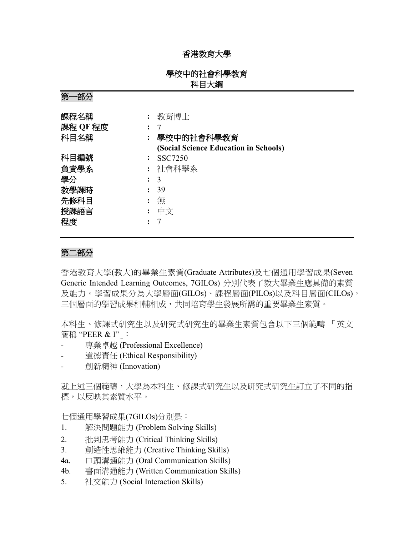## 香港教育大學

# 學校中的社會科學教育 科目大綱

第一部分

| 課程名稱     |   | 教育博士                                  |
|----------|---|---------------------------------------|
| 課程 QF 程度 |   |                                       |
| 科目名稱     |   | 學校中的社會科學教育                            |
|          |   | (Social Science Education in Schools) |
| 科目編號     |   | SSC7250                               |
| 負責學系     |   | 社會科學系                                 |
| 學分       |   | 3                                     |
| 教學課時     |   | -39                                   |
| 先修科目     |   | 無                                     |
| 授課語言     | : | 中文                                    |
| 程度       |   |                                       |

### 第二部分

香港教育大學(教大)的畢業生素質(Graduate Attributes)及七個通用學習成果(Seven Generic Intended Learning Outcomes, 7GILOs) 分別代表了教大畢業生應具備的素質 及能力。學習成果分為大學層面(GILOs)、課程層面(PILOs)以及科目層面(CILOs), 三個層面的學習成果相輔相成,共同培育學生發展所需的重要畢業生素質。

本科生、修課式研究生以及研究式研究生的畢業生素質包含以下三個範疇 「英文 簡稱 "PEER & I"」:

- 專業卓越 (Professional Excellence)
- 道德責任 (Ethical Responsibility)
- 創新精神 (Innovation)

就上述三個範疇,大學為本科生、修課式研究生以及研究式研究生訂立了不同的指 標,以反映其素質水平。

七個通用學習成果(7GILOs)分別是:

- 1. 解決問題能力 (Problem Solving Skills)
- 2. 批判思考能力 (Critical Thinking Skills)
- 3. 創造性思維能力 (Creative Thinking Skills)
- 4a. 口頭溝通能力 (Oral Communication Skills)
- 4b. 書面溝通能力 (Written Communication Skills)
- 5. 社交能力 (Social Interaction Skills)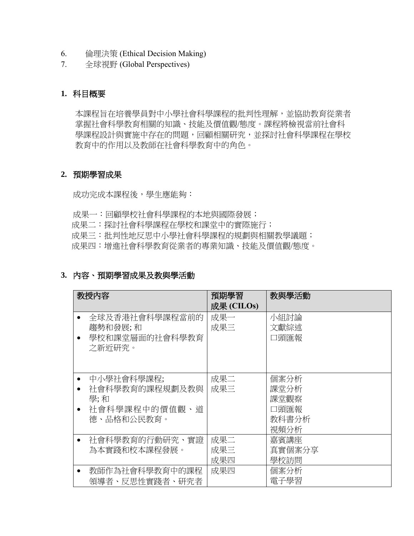- 6. 倫理決策 (Ethical Decision Making)
- 7. 全球視野 (Global Perspectives)

# **1.** 科目概要

本課程旨在培養學員對中小學社會科學課程的批判性理解,並協助教育從業者 掌握社會科學教育相關的知識、技能及價值觀/態度。課程將檢視當前社會科 學課程設計與實施中存在的問題,回顧相關研究,並探討社會科學課程在學校 教育中的作用以及教師在社會科學教育中的角色。

#### **2.** 預期學習成果

成功完成本課程後,學生應能夠:

成果一:回顧學校社會科學課程的本地與國際發展;

成果二: 探討社會科學課程在學校和課堂中的實際施行;

成果三:批判性地反思中小學社會科學課程的規劃與相關教學議題;

成果四:增進社會科學教育從業者的專業知識、技能及價值觀/態度。

## **3.** 內容、預期學習成果及教與學活動

| 教授内容                                                                                          | 預期學習<br>成果 (CILOs) | 教與學活動                                         |
|-----------------------------------------------------------------------------------------------|--------------------|-----------------------------------------------|
| 全球及香港社會科學課程當前的<br>趨勢和發展;和<br>學校和課堂層面的社會科學教育<br>之新近研究。                                         | 成果一<br>成果三         | 小組討論<br>文獻綜述<br>口頭匯報                          |
| 中小學社會科學課程;<br>社會科學教育的課程規劃及教與<br>$\bullet$<br>學; 和<br>社會科學課程中的價值觀、道<br>$\bullet$<br>德、品格和公民教育。 | 成果二<br>成果三         | 個案分析<br>課堂分析<br>課堂觀察<br>口頭匯報<br>教科書分析<br>視頻分析 |
| 社會科學教育的行動研究、實證<br>$\bullet$<br>為本實踐和校本課程發展。                                                   | 成果二<br>成果三<br>成果四  | 嘉賓講座<br>真實個案分享<br>學校訪問                        |
| 教師作為社會科學教育中的課程<br>領導者、反思性實踐者、研究者                                                              | 成果四                | 個案分析<br>電子學習                                  |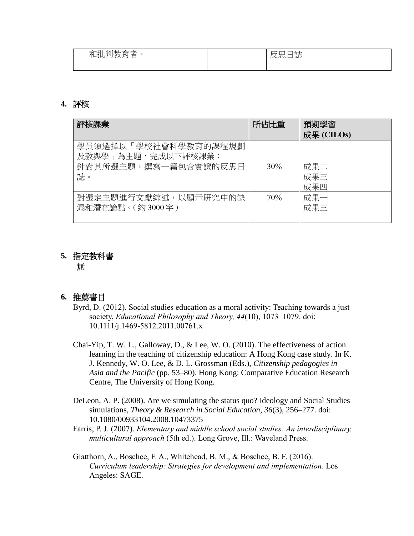| $+ +$<br>和批,<br>手川孝久<br>--<br>冃<br>一日<br>v<br>⊸<br>$\ddotsc$ | $\Box$<br>__<br>反思日誌 |
|--------------------------------------------------------------|----------------------|
|                                                              |                      |

#### **4.** 評核

| 評核課業                                       | 所佔比重 | 預期學習<br>成果 (CILOs) |
|--------------------------------------------|------|--------------------|
| 學員須選擇以「學校社會科學教育的課程規劃<br>及教與學﹔為主題,完成以下評核課業: |      |                    |
| 針對其所選主題,撰寫一篇包含實證的反思日<br>誌。                 | 30%  | 成果二<br>成果三<br>成果四  |
| 對選定主題進行文獻綜述,以顯示研究中的缺<br>漏和潛在論點。(約3000字)    | 70%  | 成果一<br>成果三         |

# **5.** 指定教科書 無

#### **6.** 推薦書目

- Byrd, D. (2012). Social studies education as a moral activity: Teaching towards a just society, *Educational Philosophy and Theory, 44*(10), 1073–1079. doi: 10.1111/j.1469-5812.2011.00761.x
- Chai-Yip, T. W. L., Galloway, D., & Lee, W. O. (2010). The effectiveness of action learning in the teaching of citizenship education: A Hong Kong case study. In K. J. Kennedy, W. O. Lee, & D. L. Grossman (Eds.), *Citizenship pedagogies in Asia and the Pacific* (pp. 53–80). Hong Kong: Comparative Education Research Centre, The University of Hong Kong.
- DeLeon, A. P. (2008). Are we simulating the status quo? Ideology and Social Studies simulations, *Theory & Research in Social Education, 36*(3), 256–277. doi: 10.1080/00933104.2008.10473375
- Farris, P. J. (2007). *Elementary and middle school social studies: An interdisciplinary, multicultural approach* (5th ed.). Long Grove, Ill.: Waveland Press.
- Glatthorn, A., Boschee, F. A., Whitehead, B. M., & Boschee, B. F. (2016). *Curriculum leadership: Strategies for development and implementation*. Los Angeles: SAGE.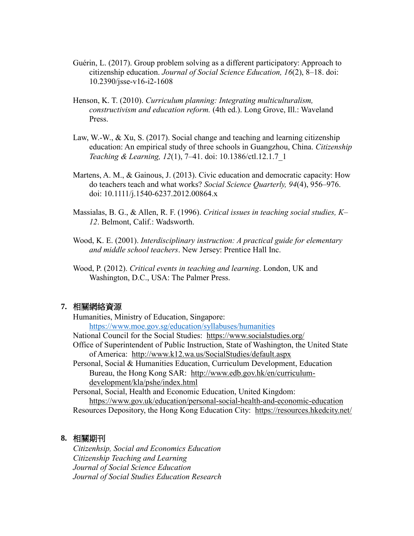- Guérin, L. (2017). Group problem solving as a different participatory: Approach to citizenship education. *Journal of Social Science Education, 16*(2), 8–18. doi: 10.2390/jsse-v16-i2-1608
- Henson, K. T. (2010). *Curriculum planning: Integrating multiculturalism, constructivism and education reform.* (4th ed.). Long Grove, Ill.: Waveland Press.
- Law, W.-W., & Xu, S. (2017). Social change and teaching and learning citizenship education: An empirical study of three schools in Guangzhou, China. *Citizenship Teaching & Learning, 12*(1), 7–41. doi: 10.1386/ctl.12.1.7\_1
- Martens, A. M., & Gainous, J. (2013). Civic education and democratic capacity: How do teachers teach and what works? *Social Science Quarterly, 94*(4), 956–976. doi: 10.1111/j.1540-6237.2012.00864.x
- Massialas, B. G., & Allen, R. F. (1996). *Critical issues in teaching social studies, K– 12*. Belmont, Calif.: Wadsworth.
- Wood, K. E. (2001). *Interdisciplinary instruction: A practical guide for elementary and middle school teachers*. New Jersey: Prentice Hall Inc.
- Wood, P. (2012). *Critical events in teaching and learning*. London, UK and Washington, D.C., USA: The Palmer Press.

#### **7.** 相關網絡資源

Humanities, Ministry of Education, Singapore: <https://www.moe.gov.sg/education/syllabuses/humanities>

National Council for the Social Studies: <https://www.socialstudies.org/>

- Office of Superintendent of Public Instruction, State of Washington, the United State of America: <http://www.k12.wa.us/SocialStudies/default.aspx>
- Personal, Social & Humanities Education, Curriculum Development, Education Bureau, the Hong Kong SAR: [http://www.edb.gov.hk/en/curriculum](http://www.edb.gov.hk/en/curriculum-development/kla/pshe/index.html)[development/kla/pshe/index.html](http://www.edb.gov.hk/en/curriculum-development/kla/pshe/index.html)

Personal, Social, Health and Economic Education, United Kingdom: <https://www.gov.uk/education/personal-social-health-and-economic-education>

Resources Depository, the Hong Kong Education City: <https://resources.hkedcity.net/>

#### **8.** 相關期刊

*Citizenhsip, Social and Economics Education Citizenship Teaching and Learning Journal of Social Science Education Journal of Social Studies Education Research*